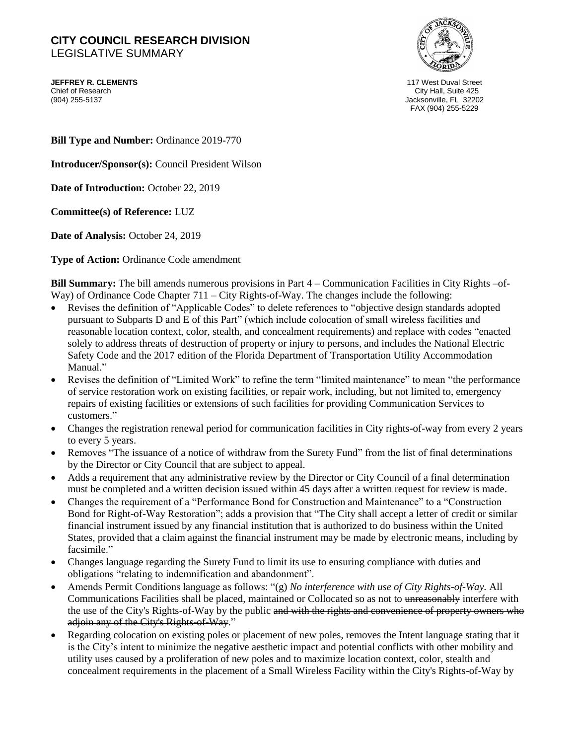## **CITY COUNCIL RESEARCH DIVISION**  LEGISLATIVE SUMMARY

**JEFFREY R. CLEMENTS** 117 West Duval Street Chief of Research Chief of Research Chief of Research City Hall, Suite 425<br>1904) 255-5137 (904) 255-5137



Jacksonville, FL 32202 FAX (904) 255-5229

**Bill Type and Number:** Ordinance 2019-770

**Introducer/Sponsor(s):** Council President Wilson

**Date of Introduction:** October 22, 2019

**Committee(s) of Reference:** LUZ

**Date of Analysis:** October 24, 2019

**Type of Action:** Ordinance Code amendment

**Bill Summary:** The bill amends numerous provisions in Part 4 – Communication Facilities in City Rights –of-Way) of Ordinance Code Chapter 711 – City Rights-of-Way. The changes include the following:

- Revises the definition of "Applicable Codes" to delete references to "objective design standards adopted pursuant to Subparts D and E of this Part" (which include colocation of small wireless facilities and reasonable location context, color, stealth, and concealment requirements) and replace with codes "enacted solely to address threats of destruction of property or injury to persons, and includes the National Electric Safety Code and the 2017 edition of the Florida Department of Transportation Utility Accommodation Manual."
- Revises the definition of "Limited Work" to refine the term "limited maintenance" to mean "the performance of service restoration work on existing facilities, or repair work, including, but not limited to, emergency repairs of existing facilities or extensions of such facilities for providing Communication Services to customers."
- Changes the registration renewal period for communication facilities in City rights-of-way from every 2 years to every 5 years.
- Removes "The issuance of a notice of withdraw from the Surety Fund" from the list of final determinations by the Director or City Council that are subject to appeal.
- Adds a requirement that any administrative review by the Director or City Council of a final determination must be completed and a written decision issued within 45 days after a written request for review is made.
- Changes the requirement of a "Performance Bond for Construction and Maintenance" to a "Construction Bond for Right-of-Way Restoration"; adds a provision that "The City shall accept a letter of credit or similar financial instrument issued by any financial institution that is authorized to do business within the United States, provided that a claim against the financial instrument may be made by electronic means, including by facsimile."
- Changes language regarding the Surety Fund to limit its use to ensuring compliance with duties and obligations "relating to indemnification and abandonment".
- Amends Permit Conditions language as follows: "(g) *No interference with use of City Rights-of-Way.* All Communications Facilities shall be placed, maintained or Collocated so as not to unreasonably interfere with the use of the City's Rights-of-Way by the public and with the rights and convenience of property owners who adjoin any of the City's Rights-of-Way."
- Regarding colocation on existing poles or placement of new poles, removes the Intent language stating that it is the City's intent to minimize the negative aesthetic impact and potential conflicts with other mobility and utility uses caused by a proliferation of new poles and to maximize location context, color, stealth and concealment requirements in the placement of a Small Wireless Facility within the City's Rights-of-Way by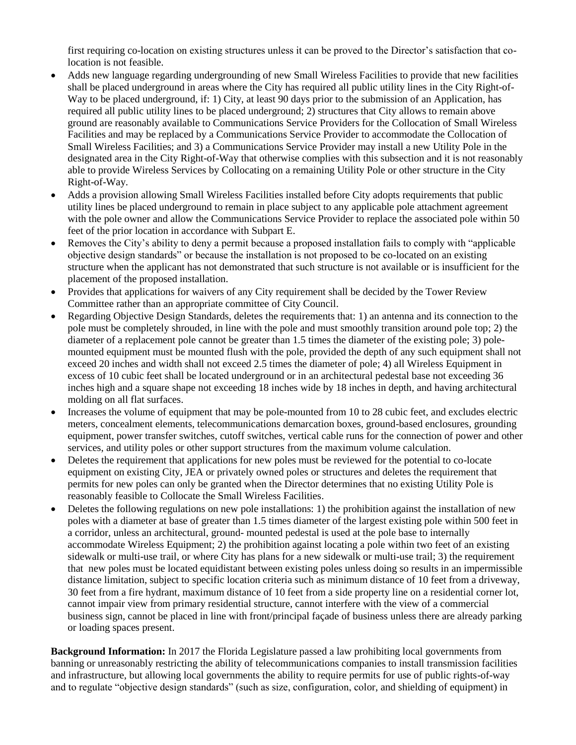first requiring co-location on existing structures unless it can be proved to the Director's satisfaction that colocation is not feasible.

- Adds new language regarding undergrounding of new Small Wireless Facilities to provide that new facilities shall be placed underground in areas where the City has required all public utility lines in the City Right-of-Way to be placed underground, if: 1) City, at least 90 days prior to the submission of an Application, has required all public utility lines to be placed underground; 2) structures that City allows to remain above ground are reasonably available to Communications Service Providers for the Collocation of Small Wireless Facilities and may be replaced by a Communications Service Provider to accommodate the Collocation of Small Wireless Facilities; and 3) a Communications Service Provider may install a new Utility Pole in the designated area in the City Right-of-Way that otherwise complies with this subsection and it is not reasonably able to provide Wireless Services by Collocating on a remaining Utility Pole or other structure in the City Right-of-Way.
- Adds a provision allowing Small Wireless Facilities installed before City adopts requirements that public utility lines be placed underground to remain in place subject to any applicable pole attachment agreement with the pole owner and allow the Communications Service Provider to replace the associated pole within 50 feet of the prior location in accordance with Subpart E.
- Removes the City's ability to deny a permit because a proposed installation fails to comply with "applicable objective design standards" or because the installation is not proposed to be co-located on an existing structure when the applicant has not demonstrated that such structure is not available or is insufficient for the placement of the proposed installation.
- Provides that applications for waivers of any City requirement shall be decided by the Tower Review Committee rather than an appropriate committee of City Council.
- Regarding Objective Design Standards, deletes the requirements that: 1) an antenna and its connection to the pole must be completely shrouded, in line with the pole and must smoothly transition around pole top; 2) the diameter of a replacement pole cannot be greater than 1.5 times the diameter of the existing pole; 3) polemounted equipment must be mounted flush with the pole, provided the depth of any such equipment shall not exceed 20 inches and width shall not exceed 2.5 times the diameter of pole; 4) all Wireless Equipment in excess of 10 cubic feet shall be located underground or in an architectural pedestal base not exceeding 36 inches high and a square shape not exceeding 18 inches wide by 18 inches in depth, and having architectural molding on all flat surfaces.
- Increases the volume of equipment that may be pole-mounted from 10 to 28 cubic feet, and excludes electric meters, concealment elements, telecommunications demarcation boxes, ground-based enclosures, grounding equipment, power transfer switches, cutoff switches, vertical cable runs for the connection of power and other services, and utility poles or other support structures from the maximum volume calculation.
- Deletes the requirement that applications for new poles must be reviewed for the potential to co-locate equipment on existing City, JEA or privately owned poles or structures and deletes the requirement that permits for new poles can only be granted when the Director determines that no existing Utility Pole is reasonably feasible to Collocate the Small Wireless Facilities.
- Deletes the following regulations on new pole installations: 1) the prohibition against the installation of new poles with a diameter at base of greater than 1.5 times diameter of the largest existing pole within 500 feet in a corridor, unless an architectural, ground- mounted pedestal is used at the pole base to internally accommodate Wireless Equipment; 2) the prohibition against locating a pole within two feet of an existing sidewalk or multi-use trail, or where City has plans for a new sidewalk or multi-use trail; 3) the requirement that new poles must be located equidistant between existing poles unless doing so results in an impermissible distance limitation, subject to specific location criteria such as minimum distance of 10 feet from a driveway, 30 feet from a fire hydrant, maximum distance of 10 feet from a side property line on a residential corner lot, cannot impair view from primary residential structure, cannot interfere with the view of a commercial business sign, cannot be placed in line with front/principal façade of business unless there are already parking or loading spaces present.

**Background Information:** In 2017 the Florida Legislature passed a law prohibiting local governments from banning or unreasonably restricting the ability of telecommunications companies to install transmission facilities and infrastructure, but allowing local governments the ability to require permits for use of public rights-of-way and to regulate "objective design standards" (such as size, configuration, color, and shielding of equipment) in